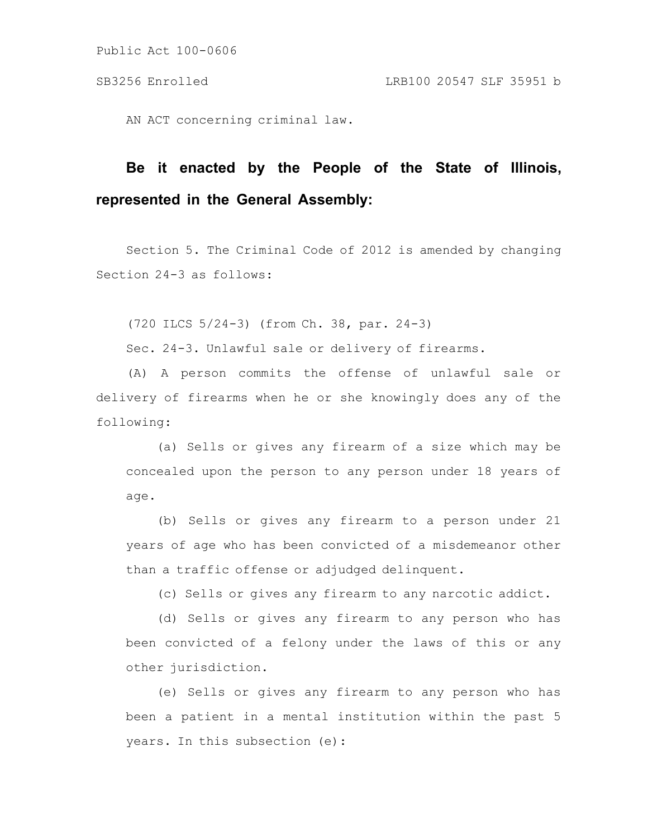Public Act 100-0606

AN ACT concerning criminal law.

# **Be it enacted by the People of the State of Illinois, represented in the General Assembly:**

Section 5. The Criminal Code of 2012 is amended by changing Section 24-3 as follows:

(720 ILCS 5/24-3) (from Ch. 38, par. 24-3)

Sec. 24-3. Unlawful sale or delivery of firearms.

(A) A person commits the offense of unlawful sale or delivery of firearms when he or she knowingly does any of the following:

(a) Sells or gives any firearm of a size which may be concealed upon the person to any person under 18 years of age.

(b) Sells or gives any firearm to a person under 21 years of age who has been convicted of a misdemeanor other than a traffic offense or adjudged delinquent.

(c) Sells or gives any firearm to any narcotic addict.

(d) Sells or gives any firearm to any person who has been convicted of a felony under the laws of this or any other jurisdiction.

(e) Sells or gives any firearm to any person who has been a patient in a mental institution within the past 5 years. In this subsection (e):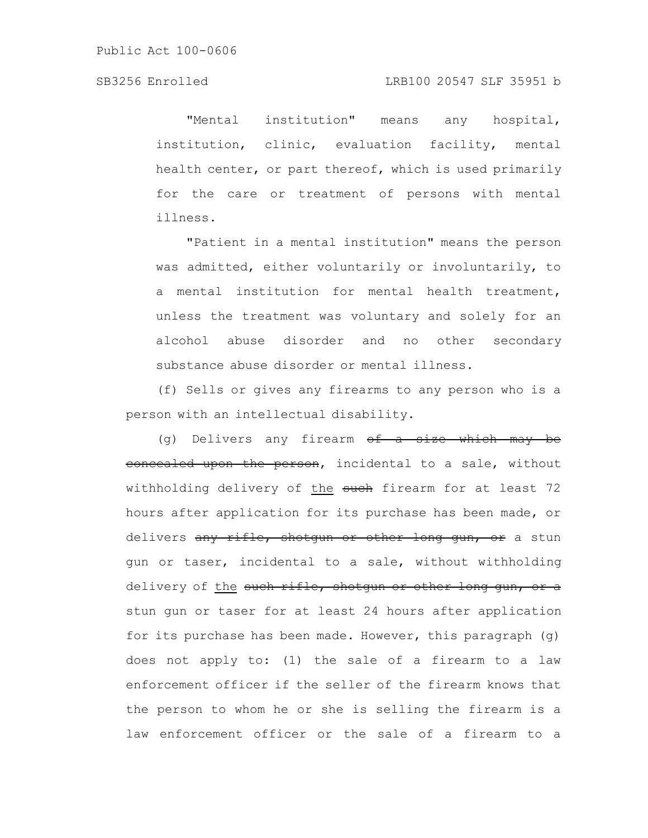"Mental institution" means any hospital, institution, clinic, evaluation facility, mental health center, or part thereof, which is used primarily for the care or treatment of persons with mental illness.

"Patient in a mental institution" means the person was admitted, either voluntarily or involuntarily, to a mental institution for mental health treatment, unless the treatment was voluntary and solely for an alcohol abuse disorder and no other secondary substance abuse disorder or mental illness.

(f) Sells or gives any firearms to any person who is a person with an intellectual disability.

(g) Delivers any firearm  $ef - a$  size which may be eoncealed upon the person, incidental to a sale, without withholding delivery of the such firearm for at least 72 hours after application for its purchase has been made, or delivers any rifle, shotgun or other long gun, or a stun gun or taser, incidental to a sale, without withholding delivery of the such rifle, shotgun or other long gun, or a stun gun or taser for at least 24 hours after application for its purchase has been made. However, this paragraph (g) does not apply to: (1) the sale of a firearm to a law enforcement officer if the seller of the firearm knows that the person to whom he or she is selling the firearm is a law enforcement officer or the sale of a firearm to a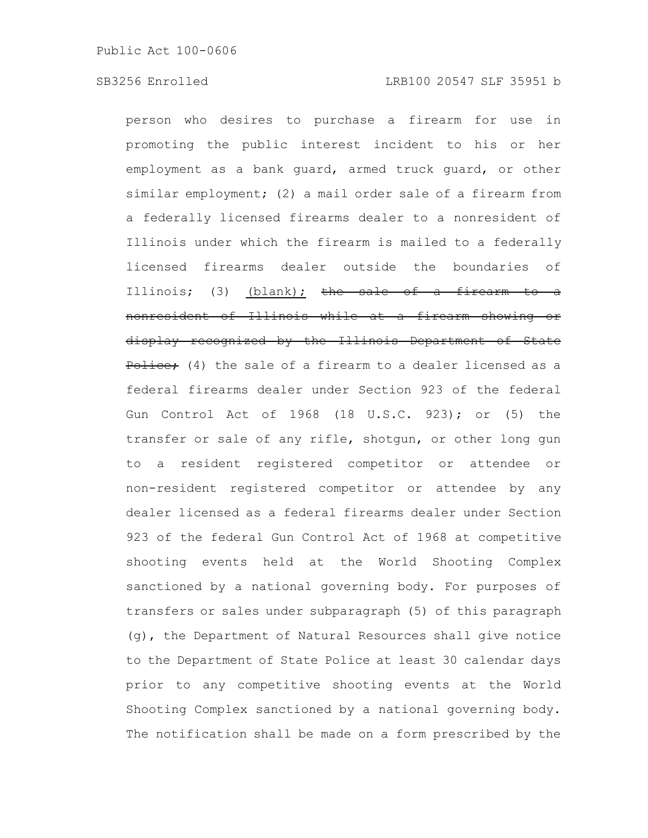person who desires to purchase a firearm for use in promoting the public interest incident to his or her employment as a bank guard, armed truck guard, or other similar employment; (2) a mail order sale of a firearm from a federally licensed firearms dealer to a nonresident of Illinois under which the firearm is mailed to a federally licensed firearms dealer outside the boundaries of Illinois; (3) (blank); the sale of a firearm nonresident of Illinois while at a firearm showing or display recognized by the Illinois Department of State Police: (4) the sale of a firearm to a dealer licensed as a federal firearms dealer under Section 923 of the federal Gun Control Act of 1968 (18 U.S.C. 923); or (5) the transfer or sale of any rifle, shotgun, or other long gun to a resident registered competitor or attendee or non-resident registered competitor or attendee by any dealer licensed as a federal firearms dealer under Section 923 of the federal Gun Control Act of 1968 at competitive shooting events held at the World Shooting Complex sanctioned by a national governing body. For purposes of transfers or sales under subparagraph (5) of this paragraph (g), the Department of Natural Resources shall give notice to the Department of State Police at least 30 calendar days prior to any competitive shooting events at the World Shooting Complex sanctioned by a national governing body. The notification shall be made on a form prescribed by the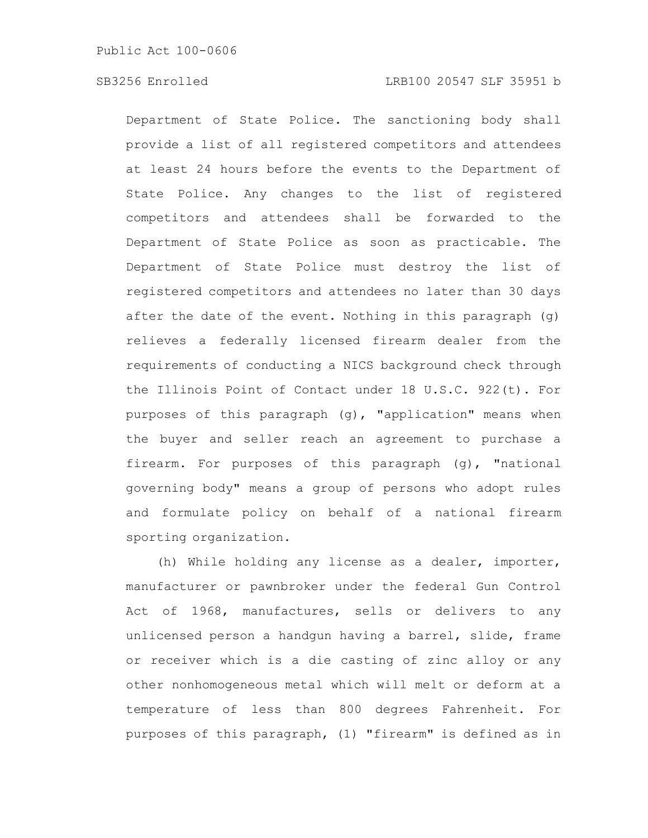Department of State Police. The sanctioning body shall provide a list of all registered competitors and attendees at least 24 hours before the events to the Department of State Police. Any changes to the list of registered competitors and attendees shall be forwarded to the Department of State Police as soon as practicable. The Department of State Police must destroy the list of registered competitors and attendees no later than 30 days after the date of the event. Nothing in this paragraph (g) relieves a federally licensed firearm dealer from the requirements of conducting a NICS background check through the Illinois Point of Contact under 18 U.S.C. 922(t). For purposes of this paragraph (g), "application" means when the buyer and seller reach an agreement to purchase a firearm. For purposes of this paragraph (g), "national governing body" means a group of persons who adopt rules and formulate policy on behalf of a national firearm sporting organization.

(h) While holding any license as a dealer, importer, manufacturer or pawnbroker under the federal Gun Control Act of 1968, manufactures, sells or delivers to any unlicensed person a handgun having a barrel, slide, frame or receiver which is a die casting of zinc alloy or any other nonhomogeneous metal which will melt or deform at a temperature of less than 800 degrees Fahrenheit. For purposes of this paragraph, (1) "firearm" is defined as in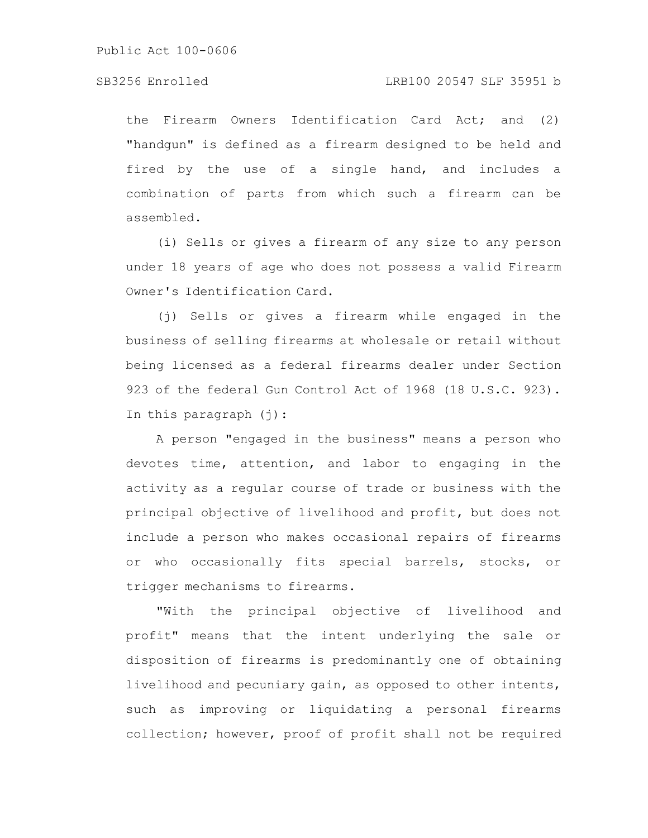the Firearm Owners Identification Card Act; and (2) "handgun" is defined as a firearm designed to be held and fired by the use of a single hand, and includes a combination of parts from which such a firearm can be assembled.

(i) Sells or gives a firearm of any size to any person under 18 years of age who does not possess a valid Firearm Owner's Identification Card.

(j) Sells or gives a firearm while engaged in the business of selling firearms at wholesale or retail without being licensed as a federal firearms dealer under Section 923 of the federal Gun Control Act of 1968 (18 U.S.C. 923). In this paragraph  $(i)$ :

A person "engaged in the business" means a person who devotes time, attention, and labor to engaging in the activity as a regular course of trade or business with the principal objective of livelihood and profit, but does not include a person who makes occasional repairs of firearms or who occasionally fits special barrels, stocks, or trigger mechanisms to firearms.

"With the principal objective of livelihood and profit" means that the intent underlying the sale or disposition of firearms is predominantly one of obtaining livelihood and pecuniary gain, as opposed to other intents, such as improving or liquidating a personal firearms collection; however, proof of profit shall not be required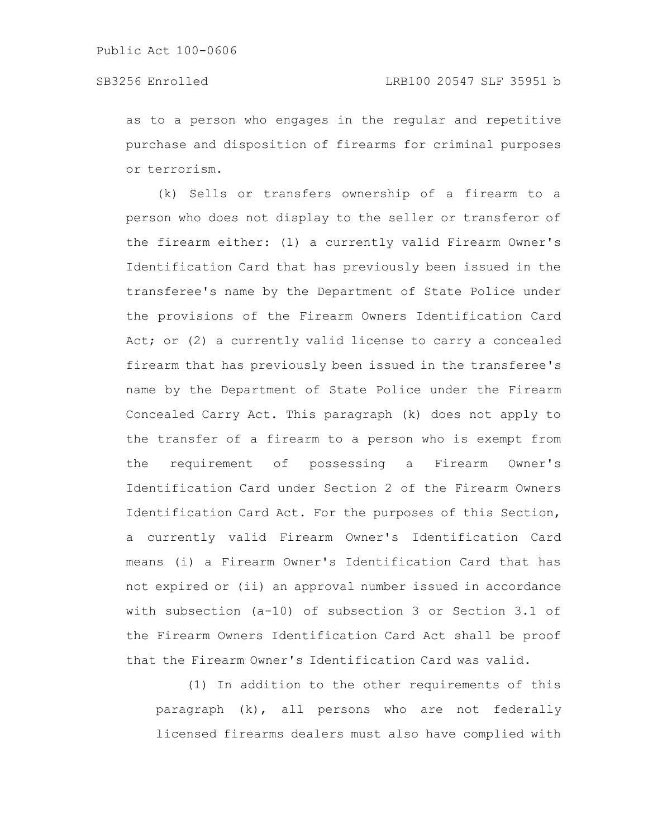as to a person who engages in the regular and repetitive purchase and disposition of firearms for criminal purposes or terrorism.

(k) Sells or transfers ownership of a firearm to a person who does not display to the seller or transferor of the firearm either: (1) a currently valid Firearm Owner's Identification Card that has previously been issued in the transferee's name by the Department of State Police under the provisions of the Firearm Owners Identification Card Act; or (2) a currently valid license to carry a concealed firearm that has previously been issued in the transferee's name by the Department of State Police under the Firearm Concealed Carry Act. This paragraph (k) does not apply to the transfer of a firearm to a person who is exempt from the requirement of possessing a Firearm Owner's Identification Card under Section 2 of the Firearm Owners Identification Card Act. For the purposes of this Section, a currently valid Firearm Owner's Identification Card means (i) a Firearm Owner's Identification Card that has not expired or (ii) an approval number issued in accordance with subsection (a-10) of subsection 3 or Section 3.1 of the Firearm Owners Identification Card Act shall be proof that the Firearm Owner's Identification Card was valid.

(1) In addition to the other requirements of this paragraph (k), all persons who are not federally licensed firearms dealers must also have complied with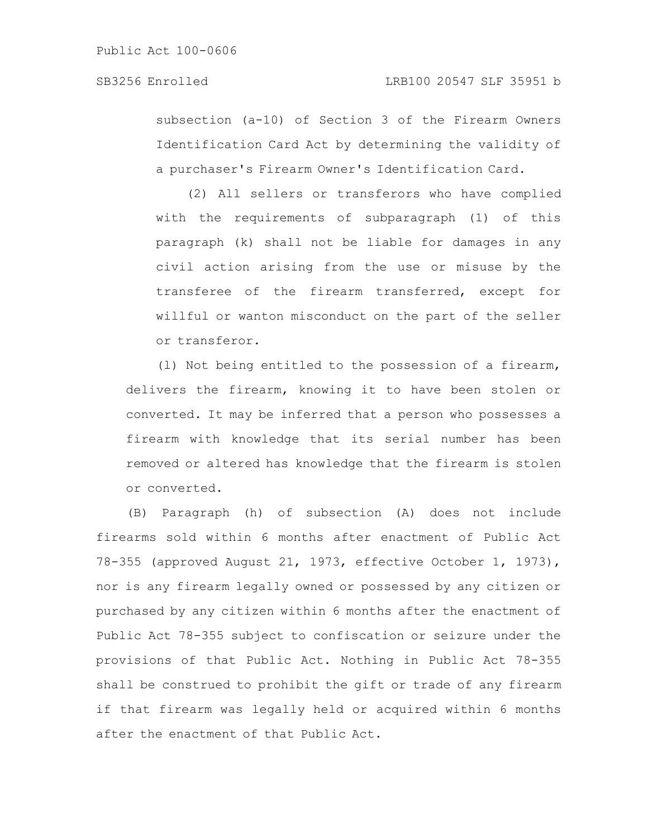subsection (a-10) of Section 3 of the Firearm Owners Identification Card Act by determining the validity of a purchaser's Firearm Owner's Identification Card.

(2) All sellers or transferors who have complied with the requirements of subparagraph (1) of this paragraph (k) shall not be liable for damages in any civil action arising from the use or misuse by the transferee of the firearm transferred, except for willful or wanton misconduct on the part of the seller or transferor.

(l) Not being entitled to the possession of a firearm, delivers the firearm, knowing it to have been stolen or converted. It may be inferred that a person who possesses a firearm with knowledge that its serial number has been removed or altered has knowledge that the firearm is stolen or converted.

(B) Paragraph (h) of subsection (A) does not include firearms sold within 6 months after enactment of Public Act 78-355 (approved August 21, 1973, effective October 1, 1973), nor is any firearm legally owned or possessed by any citizen or purchased by any citizen within 6 months after the enactment of Public Act 78-355 subject to confiscation or seizure under the provisions of that Public Act. Nothing in Public Act 78-355 shall be construed to prohibit the gift or trade of any firearm if that firearm was legally held or acquired within 6 months after the enactment of that Public Act.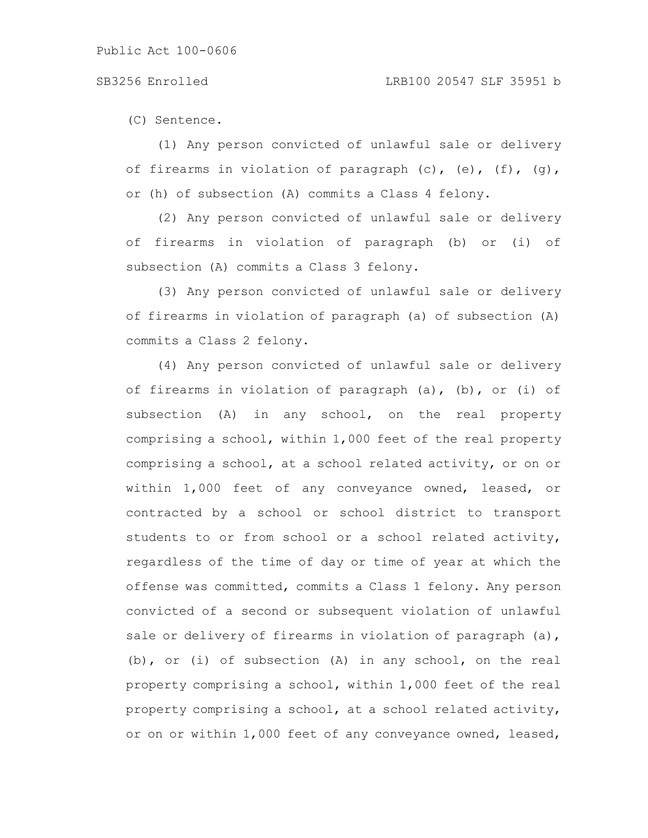(C) Sentence.

(1) Any person convicted of unlawful sale or delivery of firearms in violation of paragraph (c), (e), (f), (g), or (h) of subsection (A) commits a Class 4 felony.

(2) Any person convicted of unlawful sale or delivery of firearms in violation of paragraph (b) or (i) of subsection (A) commits a Class 3 felony.

(3) Any person convicted of unlawful sale or delivery of firearms in violation of paragraph (a) of subsection (A) commits a Class 2 felony.

(4) Any person convicted of unlawful sale or delivery of firearms in violation of paragraph (a), (b), or (i) of subsection (A) in any school, on the real property comprising a school, within 1,000 feet of the real property comprising a school, at a school related activity, or on or within 1,000 feet of any conveyance owned, leased, or contracted by a school or school district to transport students to or from school or a school related activity, regardless of the time of day or time of year at which the offense was committed, commits a Class 1 felony. Any person convicted of a second or subsequent violation of unlawful sale or delivery of firearms in violation of paragraph (a), (b), or (i) of subsection (A) in any school, on the real property comprising a school, within 1,000 feet of the real property comprising a school, at a school related activity, or on or within 1,000 feet of any conveyance owned, leased,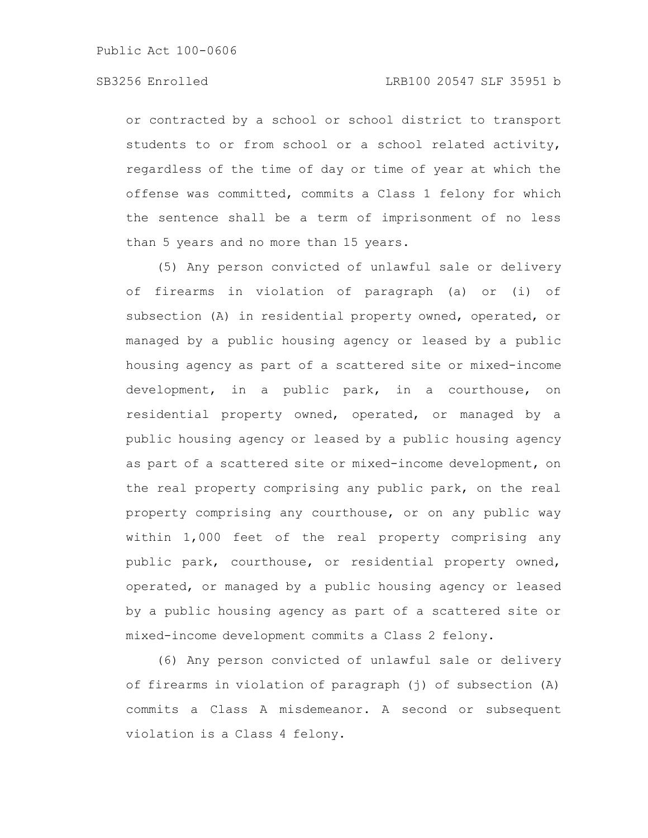or contracted by a school or school district to transport students to or from school or a school related activity, regardless of the time of day or time of year at which the offense was committed, commits a Class 1 felony for which the sentence shall be a term of imprisonment of no less than 5 years and no more than 15 years.

(5) Any person convicted of unlawful sale or delivery of firearms in violation of paragraph (a) or (i) of subsection (A) in residential property owned, operated, or managed by a public housing agency or leased by a public housing agency as part of a scattered site or mixed-income development, in a public park, in a courthouse, on residential property owned, operated, or managed by a public housing agency or leased by a public housing agency as part of a scattered site or mixed-income development, on the real property comprising any public park, on the real property comprising any courthouse, or on any public way within 1,000 feet of the real property comprising any public park, courthouse, or residential property owned, operated, or managed by a public housing agency or leased by a public housing agency as part of a scattered site or mixed-income development commits a Class 2 felony.

(6) Any person convicted of unlawful sale or delivery of firearms in violation of paragraph (j) of subsection (A) commits a Class A misdemeanor. A second or subsequent violation is a Class 4 felony.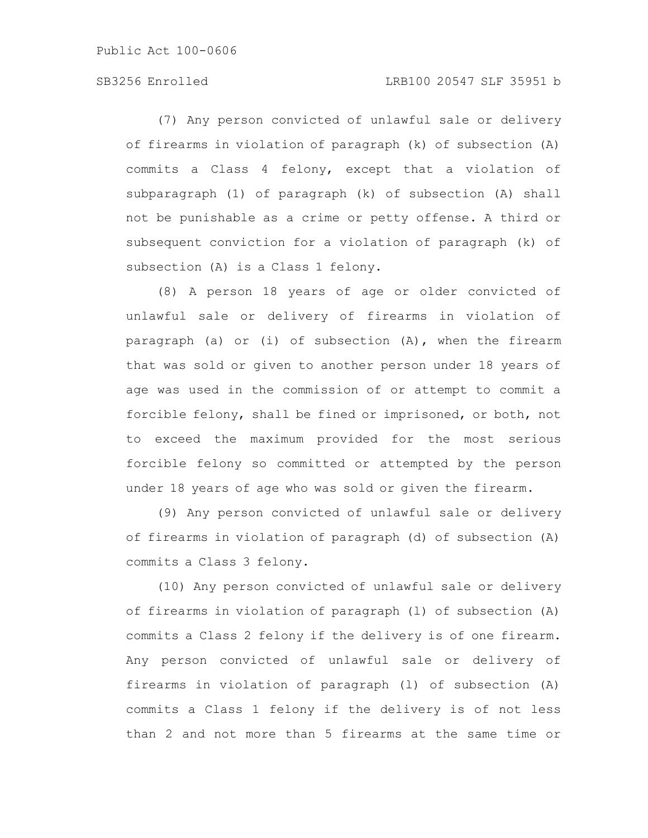Public Act 100-0606

# SB3256 Enrolled LRB100 20547 SLF 35951 b

(7) Any person convicted of unlawful sale or delivery of firearms in violation of paragraph (k) of subsection (A) commits a Class 4 felony, except that a violation of subparagraph (1) of paragraph (k) of subsection (A) shall not be punishable as a crime or petty offense. A third or subsequent conviction for a violation of paragraph (k) of subsection (A) is a Class 1 felony.

(8) A person 18 years of age or older convicted of unlawful sale or delivery of firearms in violation of paragraph (a) or (i) of subsection (A), when the firearm that was sold or given to another person under 18 years of age was used in the commission of or attempt to commit a forcible felony, shall be fined or imprisoned, or both, not to exceed the maximum provided for the most serious forcible felony so committed or attempted by the person under 18 years of age who was sold or given the firearm.

(9) Any person convicted of unlawful sale or delivery of firearms in violation of paragraph (d) of subsection (A) commits a Class 3 felony.

(10) Any person convicted of unlawful sale or delivery of firearms in violation of paragraph (l) of subsection (A) commits a Class 2 felony if the delivery is of one firearm. Any person convicted of unlawful sale or delivery of firearms in violation of paragraph (l) of subsection (A) commits a Class 1 felony if the delivery is of not less than 2 and not more than 5 firearms at the same time or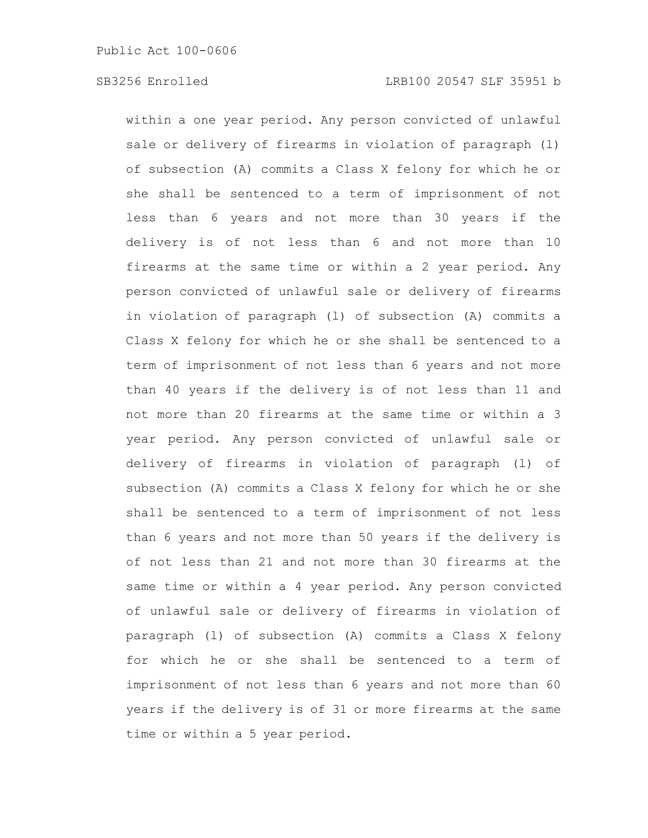within a one year period. Any person convicted of unlawful sale or delivery of firearms in violation of paragraph (l) of subsection (A) commits a Class X felony for which he or she shall be sentenced to a term of imprisonment of not less than 6 years and not more than 30 years if the delivery is of not less than 6 and not more than 10 firearms at the same time or within a 2 year period. Any person convicted of unlawful sale or delivery of firearms in violation of paragraph (l) of subsection (A) commits a Class X felony for which he or she shall be sentenced to a term of imprisonment of not less than 6 years and not more than 40 years if the delivery is of not less than 11 and not more than 20 firearms at the same time or within a 3 year period. Any person convicted of unlawful sale or delivery of firearms in violation of paragraph (l) of subsection (A) commits a Class X felony for which he or she shall be sentenced to a term of imprisonment of not less than 6 years and not more than 50 years if the delivery is of not less than 21 and not more than 30 firearms at the same time or within a 4 year period. Any person convicted of unlawful sale or delivery of firearms in violation of paragraph (l) of subsection (A) commits a Class X felony for which he or she shall be sentenced to a term of imprisonment of not less than 6 years and not more than 60 years if the delivery is of 31 or more firearms at the same time or within a 5 year period.